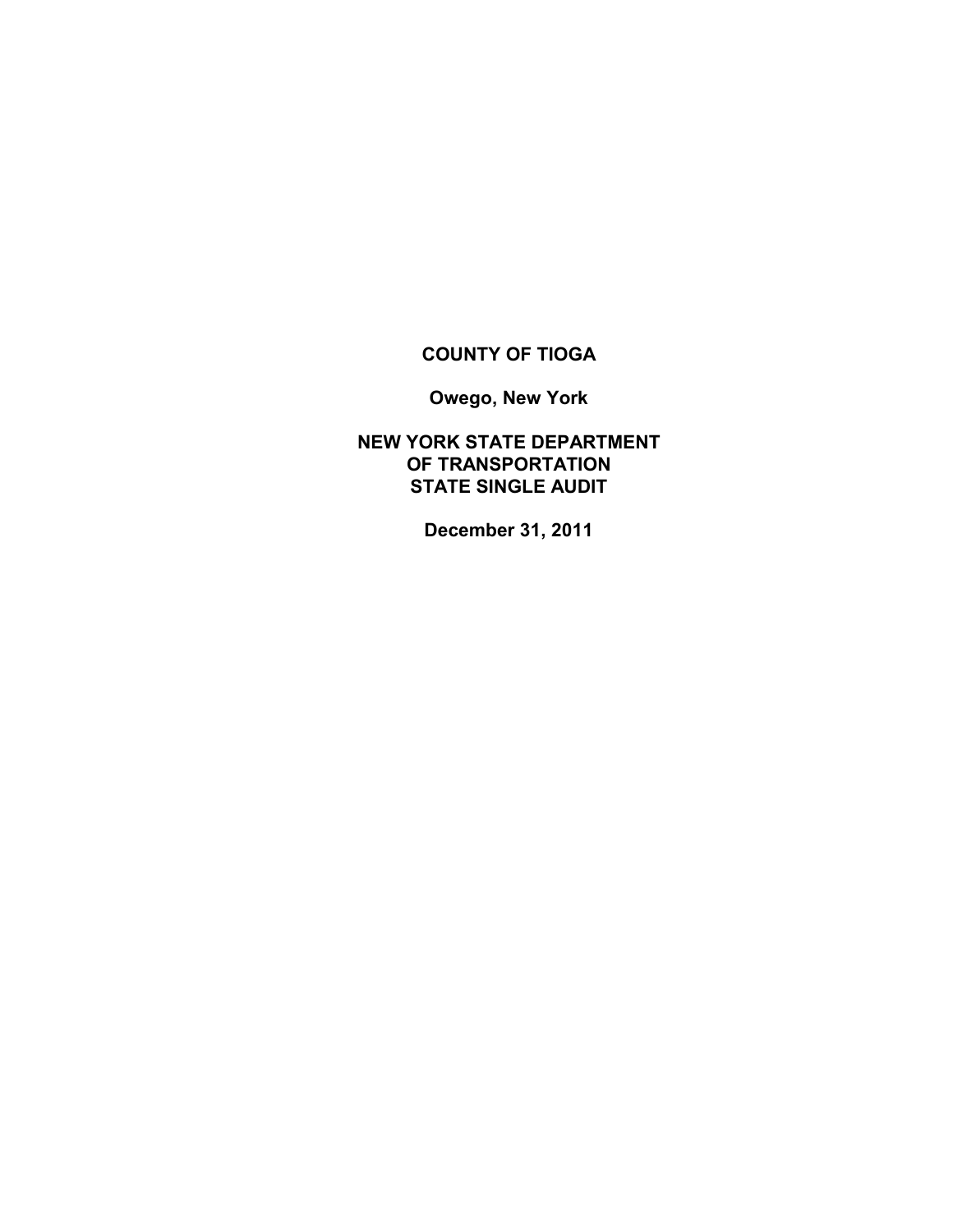## **COUNTY OF TIOGA**

**Owego, New York**

**NEW YORK STATE DEPARTMENT OF TRANSPORTATION STATE SINGLE AUDIT**

**December 31, 2011**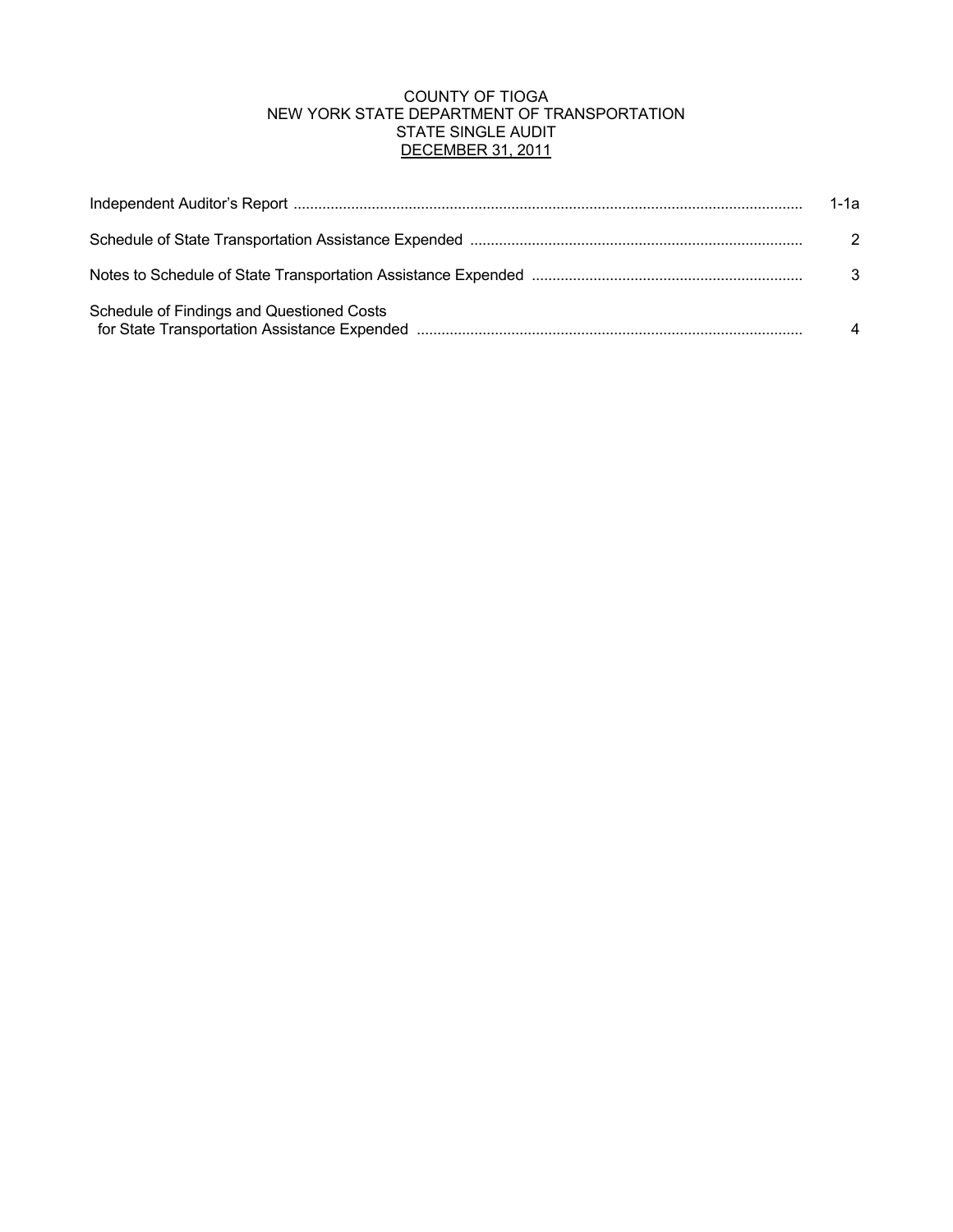### COUNTY OF TIOGA NEW YORK STATE DEPARTMENT OF TRANSPORTATION STATE SINGLE AUDIT DECEMBER 31, 2011

|                                           | 1-1а          |
|-------------------------------------------|---------------|
|                                           | $\mathcal{P}$ |
|                                           | 3             |
| Schedule of Findings and Questioned Costs |               |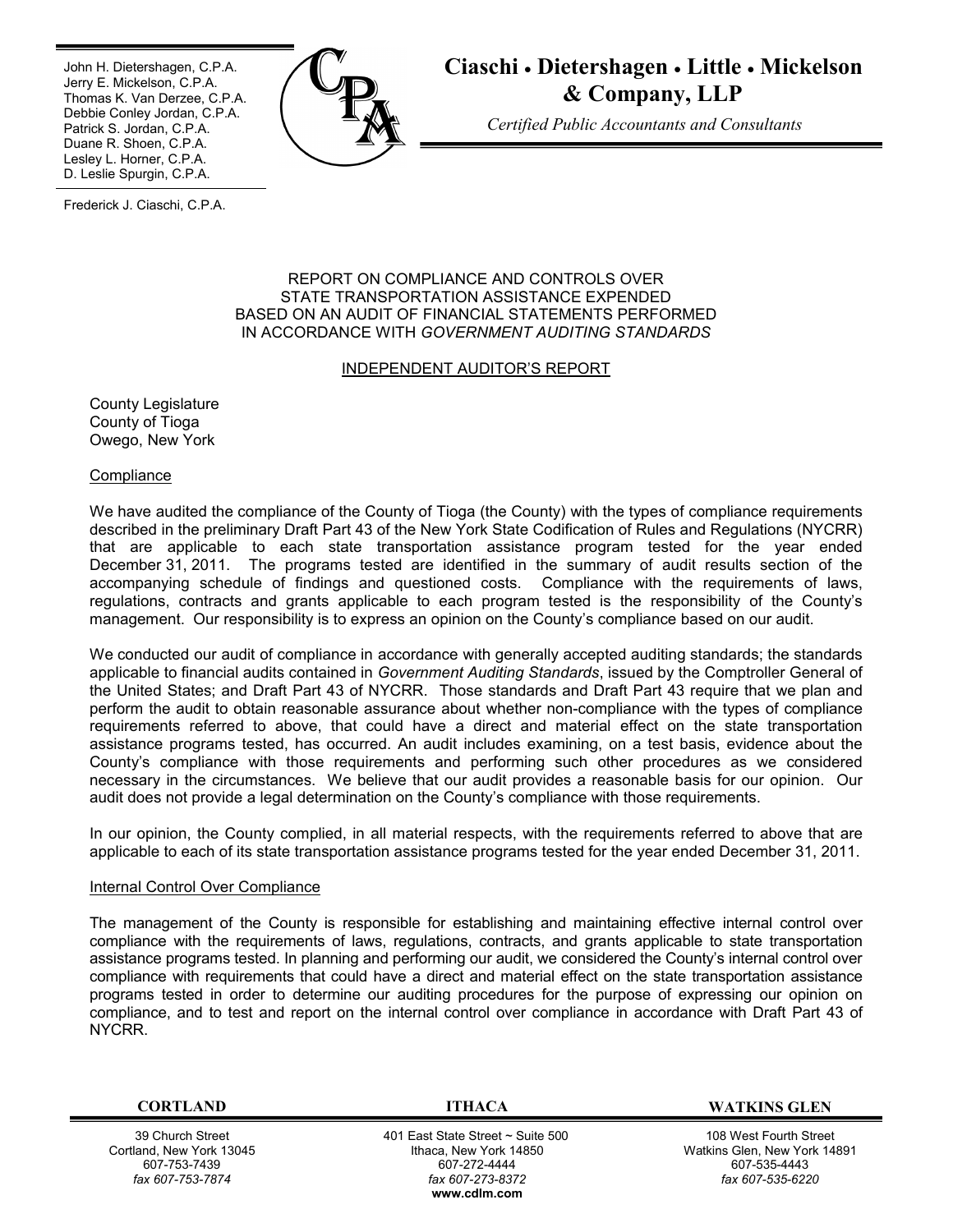Ī John H. Dietershagen, C.P.A. Jerry E. Mickelson, C.P.A. Thomas K. Van Derzee, C.P.A. Debbie Conley Jordan, C.P.A. Patrick S. Jordan, C.P.A. Duane R. Shoen, C.P.A. Lesley L. Horner, C.P.A. D. Leslie Spurgin, C.P.A.



# **Ciaschi Dietershagen Little Mickelson & Company, LLP**

*Certified Public Accountants and Consultants*

Frederick J. Ciaschi, C.P.A.

#### REPORT ON COMPLIANCE AND CONTROLS OVER STATE TRANSPORTATION ASSISTANCE EXPENDED BASED ON AN AUDIT OF FINANCIAL STATEMENTS PERFORMED IN ACCORDANCE WITH *GOVERNMENT AUDITING STANDARDS*

#### INDEPENDENT AUDITOR'S REPORT

County Legislature County of Tioga Owego, New York

**Compliance** 

We have audited the compliance of the County of Tioga (the County) with the types of compliance requirements described in the preliminary Draft Part 43 of the New York State Codification of Rules and Regulations (NYCRR) that are applicable to each state transportation assistance program tested for the year ended December 31, 2011. The programs tested are identified in the summary of audit results section of the accompanying schedule of findings and questioned costs. Compliance with the requirements of laws, regulations, contracts and grants applicable to each program tested is the responsibility of the County's management. Our responsibility is to express an opinion on the County's compliance based on our audit.

We conducted our audit of compliance in accordance with generally accepted auditing standards; the standards applicable to financial audits contained in *Government Auditing Standards*, issued by the Comptroller General of the United States; and Draft Part 43 of NYCRR. Those standards and Draft Part 43 require that we plan and perform the audit to obtain reasonable assurance about whether non-compliance with the types of compliance requirements referred to above, that could have a direct and material effect on the state transportation assistance programs tested, has occurred. An audit includes examining, on a test basis, evidence about the County's compliance with those requirements and performing such other procedures as we considered necessary in the circumstances. We believe that our audit provides a reasonable basis for our opinion. Our audit does not provide a legal determination on the County's compliance with those requirements.

In our opinion, the County complied, in all material respects, with the requirements referred to above that are applicable to each of its state transportation assistance programs tested for the year ended December 31, 2011.

#### Internal Control Over Compliance

The management of the County is responsible for establishing and maintaining effective internal control over compliance with the requirements of laws, regulations, contracts, and grants applicable to state transportation assistance programs tested. In planning and performing our audit, we considered the County's internal control over compliance with requirements that could have a direct and material effect on the state transportation assistance programs tested in order to determine our auditing procedures for the purpose of expressing our opinion on compliance, and to test and report on the internal control over compliance in accordance with Draft Part 43 of NYCRR.

39 Church Street Cortland, New York 13045 607-753-7439 *fax 607-753-7874*

 401 East State Street ~ Suite 500 Ithaca, New York 14850 607-272-4444 *fax 607-273-8372* **w[ww.cdlm.com](www.cdlm.com)**

**CORTLAND ITHACA WATKINS GLEN**

108 West Fourth Street Watkins Glen, New York 14891 607-535-4443 *fax 607-535-6220*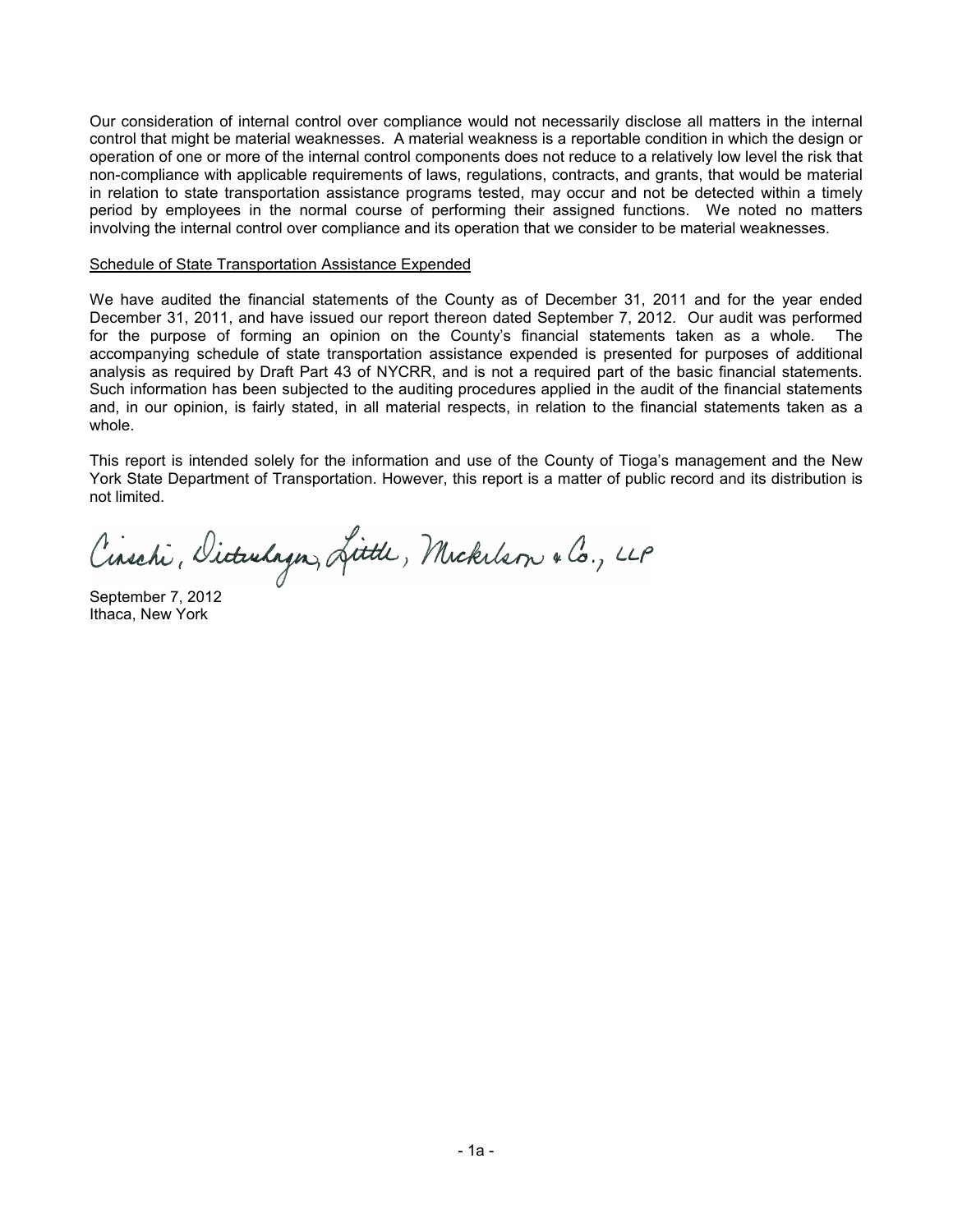Our consideration of internal control over compliance would not necessarily disclose all matters in the internal control that might be material weaknesses. A material weakness is a reportable condition in which the design or operation of one or more of the internal control components does not reduce to a relatively low level the risk that non-compliance with applicable requirements of laws, regulations, contracts, and grants, that would be material in relation to state transportation assistance programs tested, may occur and not be detected within a timely period by employees in the normal course of performing their assigned functions. We noted no matters involving the internal control over compliance and its operation that we consider to be material weaknesses.

#### Schedule of State Transportation Assistance Expended

We have audited the financial statements of the County as of December 31, 2011 and for the year ended December 31, 2011, and have issued our report thereon dated September 7, 2012. Our audit was performed for the purpose of forming an opinion on the County's financial statements taken as a whole. The accompanying schedule of state transportation assistance expended is presented for purposes of additional analysis as required by Draft Part 43 of NYCRR, and is not a required part of the basic financial statements. Such information has been subjected to the auditing procedures applied in the audit of the financial statements and, in our opinion, is fairly stated, in all material respects, in relation to the financial statements taken as a whole.

This report is intended solely for the information and use of the County of Tioga's management and the New York State Department of Transportation. However, this report is a matter of public record and its distribution is not limited.

Cinschi, Dicturlagn, Little, Mickelson & Co., LLP

September 7, 2012 Ithaca, New York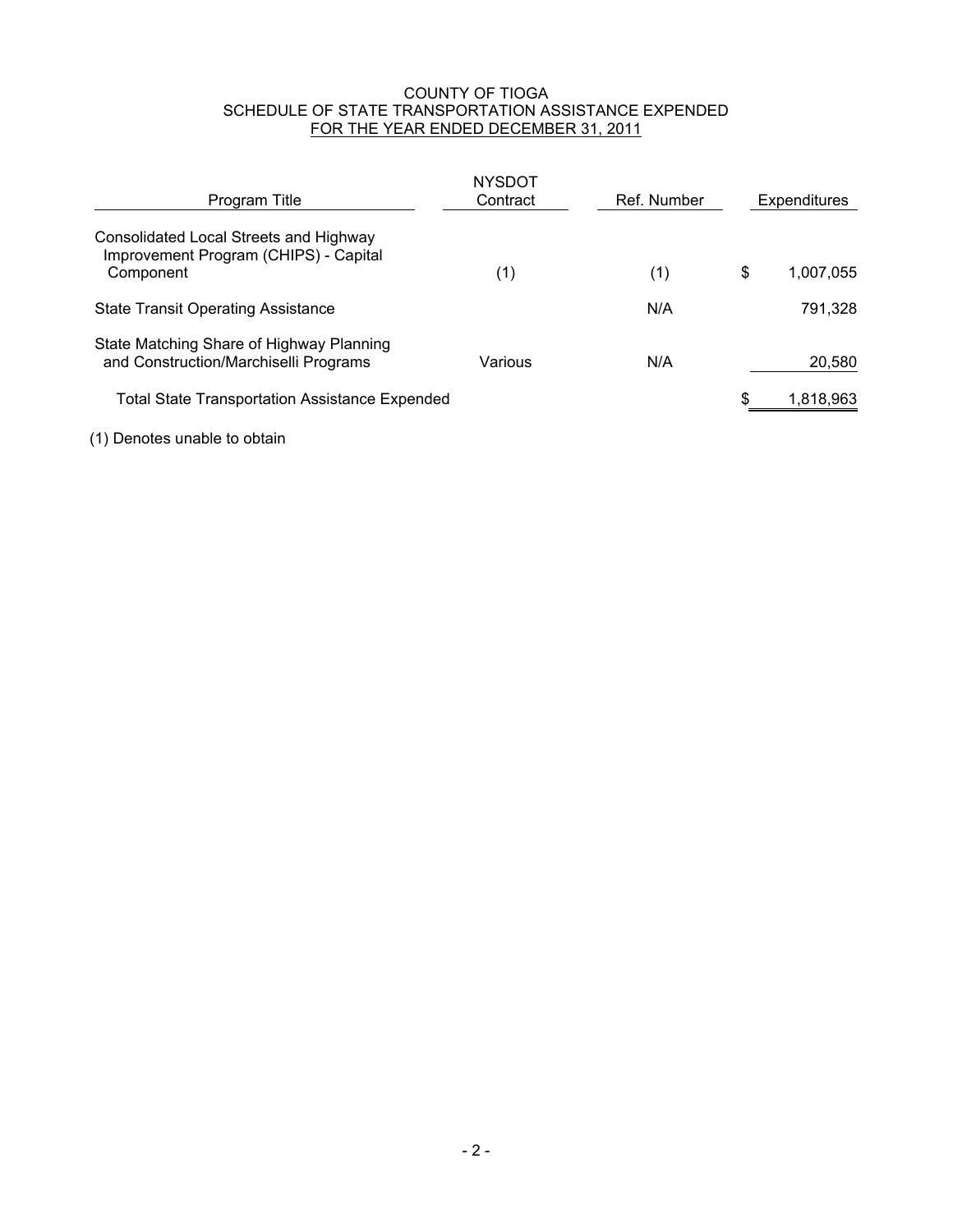#### COUNTY OF TIOGA SCHEDULE OF STATE TRANSPORTATION ASSISTANCE EXPENDED FOR THE YEAR ENDED DECEMBER 31, 2011

| Program Title                                                                                | <b>NYSDOT</b><br>Contract | Ref. Number | Expenditures    |
|----------------------------------------------------------------------------------------------|---------------------------|-------------|-----------------|
| Consolidated Local Streets and Highway<br>Improvement Program (CHIPS) - Capital<br>Component | (1)                       | (1)         | \$<br>1,007,055 |
| <b>State Transit Operating Assistance</b>                                                    |                           | N/A         | 791,328         |
| State Matching Share of Highway Planning<br>and Construction/Marchiselli Programs            | Various                   | N/A         | 20,580          |
| <b>Total State Transportation Assistance Expended</b>                                        |                           |             | 1,818,963       |

(1) Denotes unable to obtain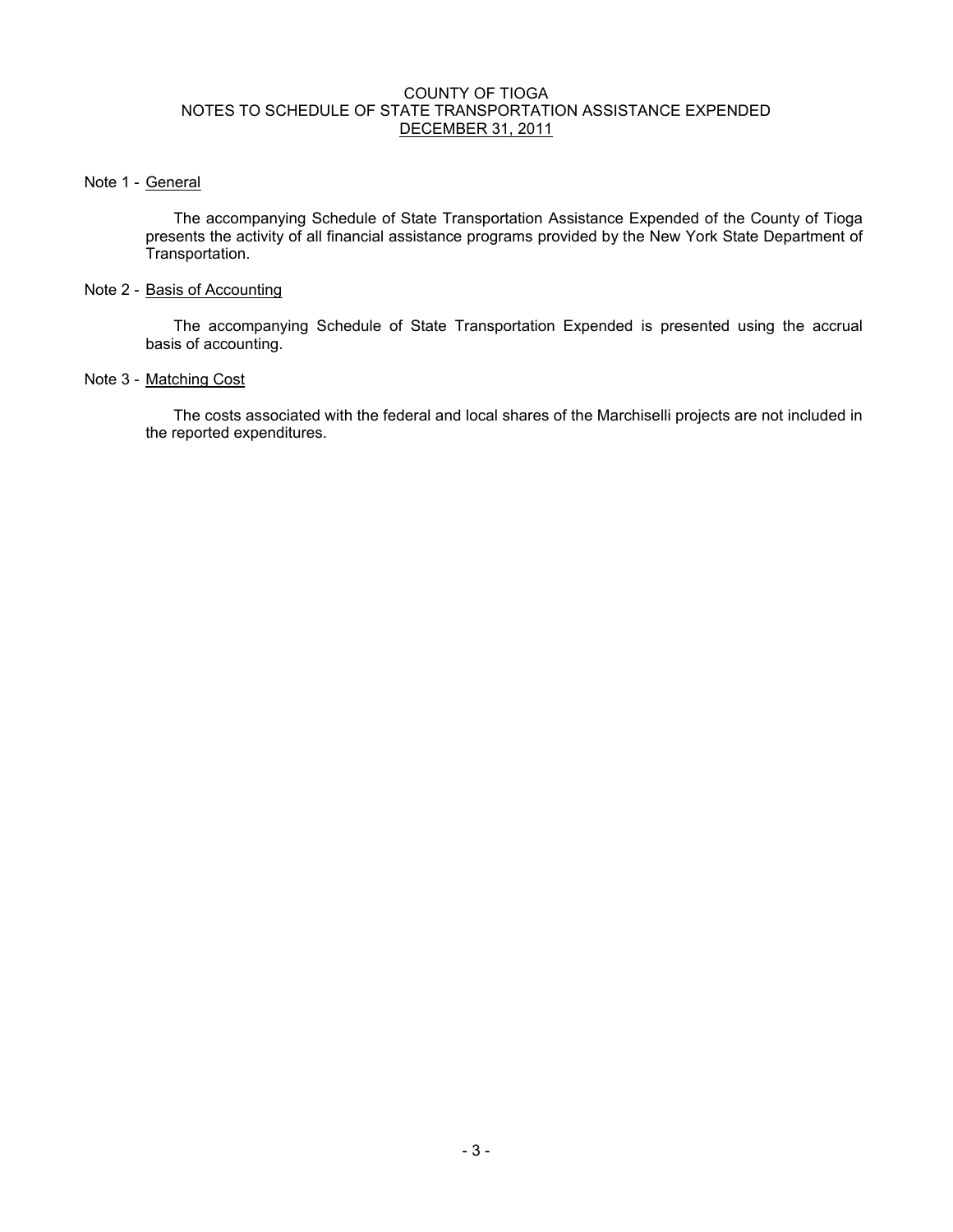#### COUNTY OF TIOGA NOTES TO SCHEDULE OF STATE TRANSPORTATION ASSISTANCE EXPENDED DECEMBER 31, 2011

#### Note 1 - General

The accompanying Schedule of State Transportation Assistance Expended of the County of Tioga presents the activity of all financial assistance programs provided by the New York State Department of Transportation.

#### Note 2 - Basis of Accounting

The accompanying Schedule of State Transportation Expended is presented using the accrual basis of accounting.

#### Note 3 - Matching Cost

The costs associated with the federal and local shares of the Marchiselli projects are not included in the reported expenditures.